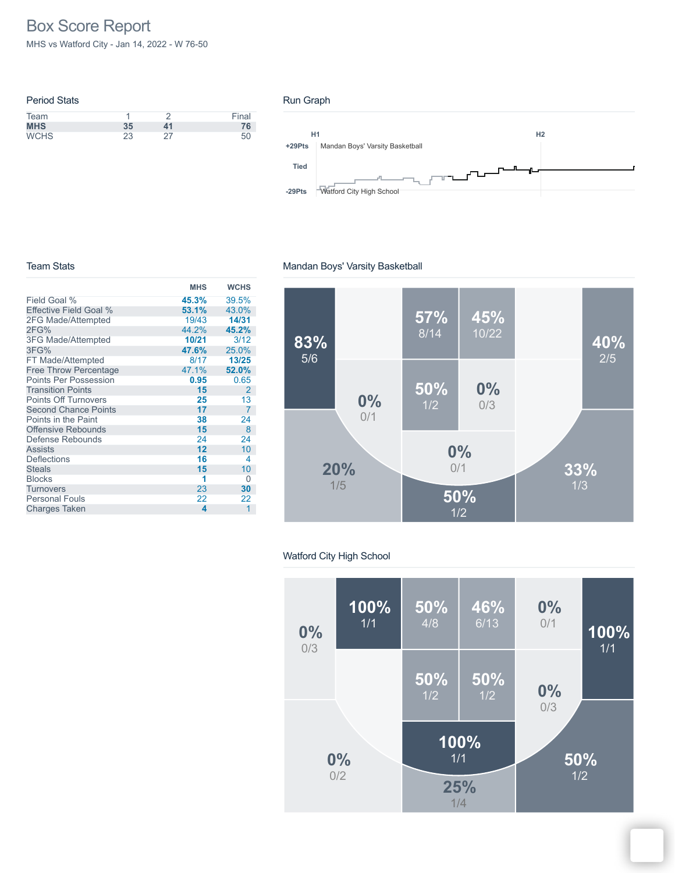# Box Score Report

MHS vs Watford City - Jan 14, 2022 - W 76-50

| <b>Period Stats</b> |    |    |       |
|---------------------|----|----|-------|
| Team                |    |    | Final |
| <b>MHS</b>          | 35 | 41 | 76    |
| <b>WCHS</b>         | 23 |    | 50    |

## Run Graph



### Team Stats

#### **MHS WCHS** Field Goal % Effective Field Goal % 2FG Made/Attempted 2FG% 3FG Made/Attempted 3FG% FT Made/Attempted Free Throw Percentage Points Per Possession Transition Points Points Off Turnovers Second Chance Points Points in the Paint Offensive Rebounds Defense Rebounds Assists **Deflections Steals** Blocks 1 0<br>Turnovers 23 30 **Turnovers** Personal Fouls Charges Taken **45.3%** 39.5% **53.1%** 43.0% 19/43 **14/31** 44.2% **45.2% 10/21**<br>**47.6% 47.6%** 25.0%<br>8/17 **13/25** 8/17 **13/25** 47.1% **52.0% 0.95** 0.65 **15** 2 25 13<br>17 7 **17** 7 **38** 24 **15** 8 24 24<br>**12** 10  $\frac{10}{4}$ **16** 4 **15** 10 **1** 23 **30**  $\begin{array}{ccc} 22 & 22 \\ 4 & 1 \end{array}$ **4** 1



## Watford City High School

Mandan Boys' Varsity Basketball